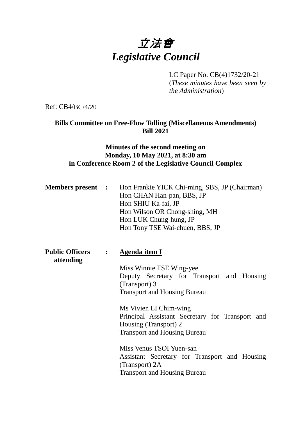# 立法會 *Legislative Council*

LC Paper No. CB(4)1732/20-21

(*These minutes have been seen by the Administration*)

Ref: CB4/BC/4/20

## **Bills Committee on Free-Flow Tolling (Miscellaneous Amendments) Bill 2021**

#### **Minutes of the second meeting on Monday, 10 May 2021, at 8:30 am in Conference Room 2 of the Legislative Council Complex**

|  | <b>Members present :</b> Hon Frankie YICK Chi-ming, SBS, JP (Chairman) |
|--|------------------------------------------------------------------------|
|  | Hon CHAN Han-pan, BBS, JP                                              |
|  | Hon SHIU Ka-fai, JP                                                    |
|  | Hon Wilson OR Chong-shing, MH                                          |
|  | Hon LUK Chung-hung, JP                                                 |
|  | Hon Tony TSE Wai-chuen, BBS, JP                                        |
|  |                                                                        |

**Public Officers : Agenda item I attending** Miss Winnie TSE Wing-yee Deputy Secretary for Transport and Housing (Transport) 3 Transport and Housing Bureau Ms Vivien LI Chim-wing Principal Assistant Secretary for Transport and Housing (Transport) 2 Transport and Housing Bureau Miss Venus TSOI Yuen-san Assistant Secretary for Transport and Housing (Transport) 2A Transport and Housing Bureau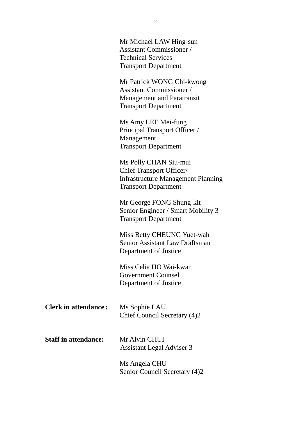|                             | Mr Michael LAW Hing-sun<br><b>Assistant Commissioner</b> /<br><b>Technical Services</b><br><b>Transport Department</b>               |
|-----------------------------|--------------------------------------------------------------------------------------------------------------------------------------|
|                             | Mr Patrick WONG Chi-kwong<br><b>Assistant Commissioner</b> /<br><b>Management and Paratransit</b><br><b>Transport Department</b>     |
|                             | Ms Amy LEE Mei-fung<br>Principal Transport Officer /<br>Management<br><b>Transport Department</b>                                    |
|                             | Ms Polly CHAN Siu-mui<br><b>Chief Transport Officer/</b><br><b>Infrastructure Management Planning</b><br><b>Transport Department</b> |
|                             | Mr George FONG Shung-kit<br>Senior Engineer / Smart Mobility 3<br><b>Transport Department</b>                                        |
|                             | Miss Betty CHEUNG Yuet-wah<br>Senior Assistant Law Draftsman<br>Department of Justice                                                |
|                             | Miss Celia HO Wai-kwan<br><b>Government Counsel</b><br>Department of Justice                                                         |
| <b>Clerk in attendance:</b> | Ms Sophie LAU<br>Chief Council Secretary (4)2                                                                                        |
| <b>Staff in attendance:</b> | Mr Alvin CHUI<br><b>Assistant Legal Adviser 3</b>                                                                                    |
|                             | Ms Angela CHU<br>Senior Council Secretary (4)2                                                                                       |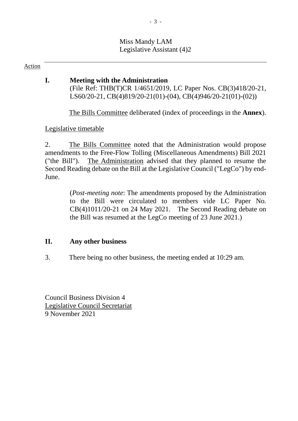#### Miss Mandy LAM Legislative Assistant (4)2

Action

### **I. Meeting with the Administration**

(File Ref: THB(T)CR 1/4651/2019, LC Paper Nos. CB(3)418/20-21, LS60/20-21, CB(4)819/20-21(01)-(04), CB(4)946/20-21(01)-(02))

The Bills Committee deliberated (index of proceedings in the **Annex**).

Legislative timetable

2. The Bills Committee noted that the Administration would propose amendments to the Free-Flow Tolling (Miscellaneous Amendments) Bill 2021 ("the Bill"). The Administration advised that they planned to resume the Second Reading debate on the Bill at the Legislative Council ("LegCo") by end-June.

> (*Post-meeting note*: The amendments proposed by the Administration to the Bill were circulated to members vide LC Paper No. CB(4)1011/20-21 on 24 May 2021. The Second Reading debate on the Bill was resumed at the LegCo meeting of 23 June 2021.)

## **II. Any other business**

3. There being no other business, the meeting ended at 10:29 am.

Council Business Division 4 Legislative Council Secretariat 9 November 2021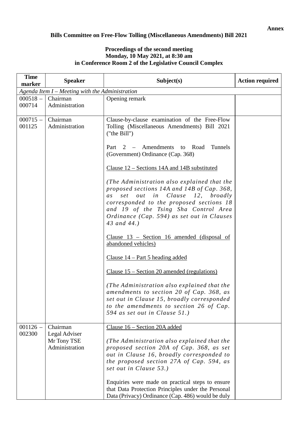#### **Annex**

#### **Bills Committee on Free-Flow Tolling (Miscellaneous Amendments) Bill 2021**

#### **Proceedings of the second meeting Monday, 10 May 2021, at 8:30 am in Conference Room 2 of the Legislative Council Complex**

| <b>Time</b><br>marker | <b>Speaker</b>                                    | Subject(s)                                                                                                                                                                                                                                                                        | <b>Action required</b> |
|-----------------------|---------------------------------------------------|-----------------------------------------------------------------------------------------------------------------------------------------------------------------------------------------------------------------------------------------------------------------------------------|------------------------|
|                       | Agenda Item $I$ – Meeting with the Administration |                                                                                                                                                                                                                                                                                   |                        |
| $000518 -$            | Chairman                                          | Opening remark                                                                                                                                                                                                                                                                    |                        |
| 000714                | Administration                                    |                                                                                                                                                                                                                                                                                   |                        |
| $000715 -$            | Chairman                                          | Clause-by-clause examination of the Free-Flow                                                                                                                                                                                                                                     |                        |
| 001125                | Administration                                    | Tolling (Miscellaneous Amendments) Bill 2021<br>("the Bill")                                                                                                                                                                                                                      |                        |
|                       |                                                   | Part 2 – Amendments to Road<br>Tunnels<br>(Government) Ordinance (Cap. 368)                                                                                                                                                                                                       |                        |
|                       |                                                   | Clause 12 – Sections 14A and 14B substituted                                                                                                                                                                                                                                      |                        |
|                       |                                                   | (The Administration also explained that the<br>proposed sections 14A and 14B of Cap. 368,<br>set out in Clause 12, broadly<br>as<br>corresponded to the proposed sections 18<br>and 19 of the Tsing Sha Control Area<br>Ordinance (Cap. 594) as set out in Clauses<br>43 and 44.) |                        |
|                       |                                                   | Clause $13$ – Section 16 amended (disposal of<br>abandoned vehicles)                                                                                                                                                                                                              |                        |
|                       |                                                   | <u>Clause 14 – Part 5 heading added</u>                                                                                                                                                                                                                                           |                        |
|                       |                                                   | Clause 15 – Section 20 amended (regulations)                                                                                                                                                                                                                                      |                        |
|                       |                                                   | (The Administration also explained that the<br>amendments to section 20 of Cap. 368, as<br>set out in Clause 15, broadly corresponded<br>to the amendments to section 26 of Cap.<br>594 as set out in Clause 51.)                                                                 |                        |
| $001126 -$            | Chairman                                          | Clause 16 - Section 20A added                                                                                                                                                                                                                                                     |                        |
| 002300                | Legal Adviser<br>Mr Tony TSE<br>Administration    | (The Administration also explained that the<br>proposed section 20A of Cap. 368, as set<br>out in Clause 16, broadly corresponded to<br>the proposed section 27A of Cap. 594, as<br>set out in Clause 53.)                                                                        |                        |
|                       |                                                   | Enquiries were made on practical steps to ensure<br>that Data Protection Principles under the Personal<br>Data (Privacy) Ordinance (Cap. 486) would be duly                                                                                                                       |                        |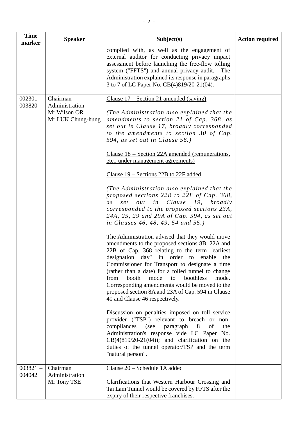| <b>Time</b><br>marker | <b>Speaker</b>                                                  | Subject(s)                                                                                                                                                                                                                                                                                                                                                                                                                                                                                                                                                                                                                                                                                                                                                                                                                                                                                                                                                                                                                                                                                                                                                                                                                                                                                                                                                                                                                                                                                                           | <b>Action required</b> |
|-----------------------|-----------------------------------------------------------------|----------------------------------------------------------------------------------------------------------------------------------------------------------------------------------------------------------------------------------------------------------------------------------------------------------------------------------------------------------------------------------------------------------------------------------------------------------------------------------------------------------------------------------------------------------------------------------------------------------------------------------------------------------------------------------------------------------------------------------------------------------------------------------------------------------------------------------------------------------------------------------------------------------------------------------------------------------------------------------------------------------------------------------------------------------------------------------------------------------------------------------------------------------------------------------------------------------------------------------------------------------------------------------------------------------------------------------------------------------------------------------------------------------------------------------------------------------------------------------------------------------------------|------------------------|
|                       |                                                                 | complied with, as well as the engagement of<br>external auditor for conducting privacy impact<br>assessment before launching the free-flow tolling<br>system ("FFTS") and annual privacy audit.<br>The<br>Administration explained its response in paragraphs<br>3 to 7 of LC Paper No. CB(4)819/20-21(04).                                                                                                                                                                                                                                                                                                                                                                                                                                                                                                                                                                                                                                                                                                                                                                                                                                                                                                                                                                                                                                                                                                                                                                                                          |                        |
| $002301 -$<br>003820  | Chairman<br>Administration<br>Mr Wilson OR<br>Mr LUK Chung-hung | Clause $17 -$ Section 21 amended (saving)<br>(The Administration also explained that the<br>amendments to section 21 of Cap. 368, as<br>set out in Clause 17, broadly corresponded<br>to the amendments to section 30 of Cap.<br>594, as set out in Clause 56.)<br>Clause 18 – Section 22A amended (remunerations,<br>etc., under management agreements)<br>Clause $19$ – Sections 22B to 22F added<br>(The Administration also explained that the<br>proposed sections 22B to 22F of Cap. 368,<br>out in Clause 19, broadly<br>set<br>as<br>corresponded to the proposed sections 23A,<br>24A, 25, 29 and 29A of Cap. 594, as set out<br>in Clauses 46, 48, 49, 54 and 55.)<br>The Administration advised that they would move<br>amendments to the proposed sections 8B, 22A and<br>22B of Cap. 368 relating to the term "earliest"<br>designation day" in order to enable the<br>Commissioner for Transport to designate a time<br>(rather than a date) for a tolled tunnel to change<br>boothless<br>from<br>booth<br>mode<br>mode.<br>to<br>Corresponding amendments would be moved to the<br>proposed section 8A and 23A of Cap. 594 in Clause<br>40 and Clause 46 respectively.<br>Discussion on penalties imposed on toll service<br>provider ("TSP") relevant to breach or non-<br>compliances (see<br>of<br>paragraph<br>8<br>the<br>Administration's response vide LC Paper No.<br>$CB(4)819/20-21(04)$ ; and clarification on the<br>duties of the tunnel operator/TSP and the term<br>"natural person". |                        |
| $003821 -$<br>004042  | Chairman<br>Administration<br>Mr Tony TSE                       | Clause 20 - Schedule 1A added<br>Clarifications that Western Harbour Crossing and<br>Tai Lam Tunnel would be covered by FFTS after the<br>expiry of their respective franchises.                                                                                                                                                                                                                                                                                                                                                                                                                                                                                                                                                                                                                                                                                                                                                                                                                                                                                                                                                                                                                                                                                                                                                                                                                                                                                                                                     |                        |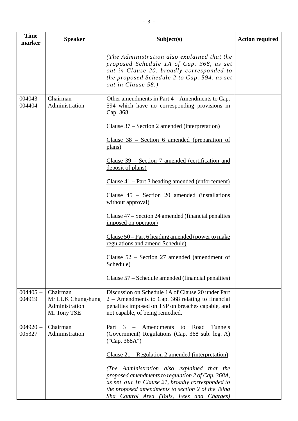| <b>Time</b><br>marker | <b>Speaker</b>                                                 | Subject(s)                                                                                                                                                                                                                                              | <b>Action required</b> |
|-----------------------|----------------------------------------------------------------|---------------------------------------------------------------------------------------------------------------------------------------------------------------------------------------------------------------------------------------------------------|------------------------|
|                       |                                                                | (The Administration also explained that the<br>proposed Schedule 1A of Cap. 368, as set<br>out in Clause 20, broadly corresponded to<br>the proposed Schedule 2 to Cap. 594, as set<br>out in Clause 58.)                                               |                        |
| $004043 -$<br>004404  | Chairman<br>Administration                                     | Other amendments in Part $4 -$ Amendments to Cap.<br>594 which have no corresponding provisions in<br>Cap. 368                                                                                                                                          |                        |
|                       |                                                                | Clause 37 – Section 2 amended (interpretation)                                                                                                                                                                                                          |                        |
|                       |                                                                | Clause $38$ – Section 6 amended (preparation of<br>plans)                                                                                                                                                                                               |                        |
|                       |                                                                | Clause 39 – Section 7 amended (certification and<br>deposit of plans)                                                                                                                                                                                   |                        |
|                       |                                                                | Clause 41 – Part 3 heading amended (enforcement)                                                                                                                                                                                                        |                        |
|                       |                                                                | Clause $45$ – Section 20 amended (installations<br>without approval)                                                                                                                                                                                    |                        |
|                       |                                                                | Clause 47 – Section 24 amended (financial penalties<br>imposed on operator)                                                                                                                                                                             |                        |
|                       |                                                                | Clause $50$ – Part 6 heading amended (power to make<br>regulations and amend Schedule)                                                                                                                                                                  |                        |
|                       |                                                                | Clause 52 - Section 27 amended (amendment of<br>Schedule)                                                                                                                                                                                               |                        |
|                       |                                                                | Clause 57 – Schedule amended (financial penalties)                                                                                                                                                                                                      |                        |
| $004405 -$<br>004919  | Chairman<br>Mr LUK Chung-hung<br>Administration<br>Mr Tony TSE | Discussion on Schedule 1A of Clause 20 under Part<br>$2 -$ Amendments to Cap. 368 relating to financial<br>penalties imposed on TSP on breaches capable, and<br>not capable, of being remedied.                                                         |                        |
| $004920 -$<br>005327  | Chairman<br>Administration                                     | Amendments<br>Tunnels<br>3<br>Road<br>Part<br>to<br>(Government) Regulations (Cap. 368 sub. leg. A)<br>("Cap. 368A")                                                                                                                                    |                        |
|                       |                                                                | <u> Clause 21 – Regulation 2 amended (interpretation)</u>                                                                                                                                                                                               |                        |
|                       |                                                                | (The Administration also explained that the<br>proposed amendments to regulation 2 of Cap. 368A,<br>as set out in Clause 21, broadly corresponded to<br>the proposed amendments to section 2 of the Tsing<br>Sha Control Area (Tolls, Fees and Charges) |                        |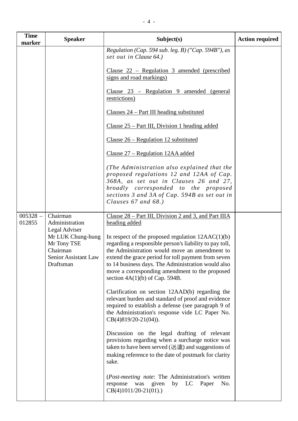| <b>Time</b><br>marker | <b>Speaker</b>                                                                                     | Subject(s)                                                                                                                                                                                                                                                                                                                                                         | <b>Action required</b> |
|-----------------------|----------------------------------------------------------------------------------------------------|--------------------------------------------------------------------------------------------------------------------------------------------------------------------------------------------------------------------------------------------------------------------------------------------------------------------------------------------------------------------|------------------------|
|                       |                                                                                                    | Regulation (Cap. 594 sub. leg. B) ("Cap. 594B"), as<br>set out in Clause 64.)                                                                                                                                                                                                                                                                                      |                        |
|                       |                                                                                                    | Clause $22$ – Regulation 3 amended (prescribed<br>signs and road markings)                                                                                                                                                                                                                                                                                         |                        |
|                       |                                                                                                    | Clause $23$ – Regulation 9 amended (general<br>restrictions)                                                                                                                                                                                                                                                                                                       |                        |
|                       |                                                                                                    | Clauses 24 – Part III heading substituted                                                                                                                                                                                                                                                                                                                          |                        |
|                       |                                                                                                    | Clause $25$ – Part III, Division 1 heading added                                                                                                                                                                                                                                                                                                                   |                        |
|                       |                                                                                                    | Clause $26$ – Regulation 12 substituted                                                                                                                                                                                                                                                                                                                            |                        |
|                       |                                                                                                    | Clause 27 – Regulation 12AA added                                                                                                                                                                                                                                                                                                                                  |                        |
|                       |                                                                                                    | (The Administration also explained that the<br>proposed regulations 12 and 12AA of Cap.<br>368A, as set out in Clauses 26 and 27,<br>broadly corresponded to the proposed<br>sections 3 and 3A of Cap. 594B as set out in<br>Clauses $67$ and $68$ .)                                                                                                              |                        |
| $005328 -$<br>012855  | Chairman<br>Administration                                                                         | Clause $28 - Part III$ , Division 2 and 3, and Part IIIA<br>heading added                                                                                                                                                                                                                                                                                          |                        |
|                       | Legal Adviser<br>Mr LUK Chung-hung<br>Mr Tony TSE<br>Chairman<br>Senior Assistant Law<br>Draftsman | In respect of the proposed regulation $12AAC(1)(b)$<br>regarding a responsible person's liability to pay toll,<br>the Administration would move an amendment to<br>extend the grace period for toll payment from seven<br>to 14 business days. The Administration would also<br>move a corresponding amendment to the proposed<br>section $4A(1)(b)$ of Cap. 594B. |                        |
|                       |                                                                                                    | Clarification on section 12AAD(b) regarding the<br>relevant burden and standard of proof and evidence<br>required to establish a defense (see paragraph 9 of<br>the Administration's response vide LC Paper No.<br>$CB(4)819/20-21(04)$ .                                                                                                                          |                        |
|                       |                                                                                                    | Discussion on the legal drafting of relevant<br>provisions regarding when a surcharge notice was<br>taken to have been served $(\maltese \hat{\mathbb{E}})$ and suggestions of<br>making reference to the date of postmark for clarity<br>sake.                                                                                                                    |                        |
|                       |                                                                                                    | (Post-meeting note: The Administration's written<br>given<br>LC<br>response<br>was<br>by<br>Paper<br>No.<br>$CB(4)1011/20-21(01).$                                                                                                                                                                                                                                 |                        |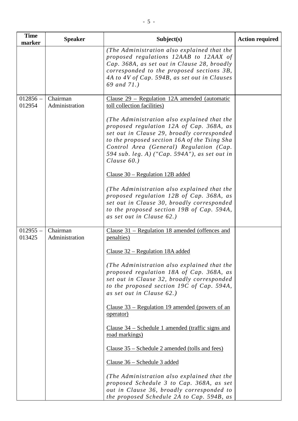| <b>Time</b><br>marker | <b>Speaker</b>             | Subject(s)                                                                                                                                                                                                                                                                                                                                                                                                                                                                                                                                                                                                                                                                                                                                           | <b>Action required</b> |
|-----------------------|----------------------------|------------------------------------------------------------------------------------------------------------------------------------------------------------------------------------------------------------------------------------------------------------------------------------------------------------------------------------------------------------------------------------------------------------------------------------------------------------------------------------------------------------------------------------------------------------------------------------------------------------------------------------------------------------------------------------------------------------------------------------------------------|------------------------|
|                       |                            | (The Administration also explained that the<br>proposed regulations 12AAB to 12AAX of<br>Cap. 368A, as set out in Clause 28, broadly<br>corresponded to the proposed sections 3B,<br>4A to 4V of Cap. 594B, as set out in Clauses<br>69 and 71.)                                                                                                                                                                                                                                                                                                                                                                                                                                                                                                     |                        |
| $012856 -$<br>012954  | Chairman<br>Administration | Clause $29$ – Regulation 12A amended (automatic<br>toll collection facilities)<br>(The Administration also explained that the<br>proposed regulation 12A of Cap. 368A, as<br>set out in Clause 29, broadly corresponded<br>to the proposed section 16A of the Tsing Sha<br>Control Area (General) Regulation (Cap.<br>594 sub. leg. A) ("Cap. 594A"), as set out in<br>Clause $60.$ )<br>Clause $30$ – Regulation 12B added<br>(The Administration also explained that the                                                                                                                                                                                                                                                                           |                        |
|                       |                            | proposed regulation 12B of Cap. 368A, as<br>set out in Clause 30, broadly corresponded<br>to the proposed section 19B of Cap. 594A,<br>as set out in Clause 62.)                                                                                                                                                                                                                                                                                                                                                                                                                                                                                                                                                                                     |                        |
| $012955 -$<br>013425  | Chairman<br>Administration | Clause 31 – Regulation 18 amended (offences and<br>penalties)<br><u> Clause 32 – Regulation 18A added</u><br>(The Administration also explained that the<br>proposed regulation 18A of Cap. 368A, as<br>set out in Clause 32, broadly corresponded<br>to the proposed section 19C of Cap. 594A,<br>as set out in Clause 62.)<br><u>Clause 33 – Regulation 19 amended (powers of an</u><br>operator)<br>Clause $34$ – Schedule 1 amended (traffic signs and<br>road markings)<br>Clause 35 – Schedule 2 amended (tolls and fees)<br>Clause 36 – Schedule 3 added<br>(The Administration also explained that the<br>proposed Schedule 3 to Cap. 368A, as set<br>out in Clause 36, broadly corresponded to<br>the proposed Schedule 2A to Cap. 594B, as |                        |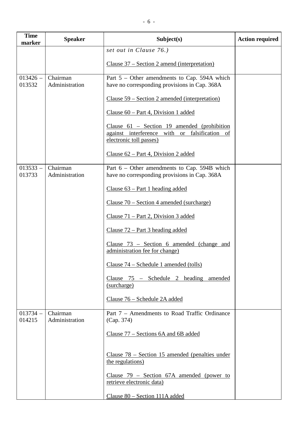| <b>Time</b><br>marker | <b>Speaker</b>             | Subject(s)                                                                                                                | <b>Action required</b> |
|-----------------------|----------------------------|---------------------------------------------------------------------------------------------------------------------------|------------------------|
|                       |                            | set out in Clause 76.)                                                                                                    |                        |
|                       |                            | <u> Clause 37 – Section 2 amend (interpretation)</u>                                                                      |                        |
| $013426 -$<br>013532  | Chairman<br>Administration | Part $5$ – Other amendments to Cap. 594A which<br>have no corresponding provisions in Cap. 368A                           |                        |
|                       |                            | Clause 59 – Section 2 amended (interpretation)                                                                            |                        |
|                       |                            | Clause $60$ – Part 4, Division 1 added                                                                                    |                        |
|                       |                            | Clause $61$ – Section 19 amended (prohibition<br>against interference with or falsification of<br>electronic toll passes) |                        |
|                       |                            | Clause $62$ – Part 4, Division 2 added                                                                                    |                        |
| $013533 -$<br>013733  | Chairman<br>Administration | Part $6$ – Other amendments to Cap. 594B which<br>have no corresponding provisions in Cap. 368A                           |                        |
|                       |                            | Clause $63$ – Part 1 heading added                                                                                        |                        |
|                       |                            | Clause $70 -$ Section 4 amended (surcharge)                                                                               |                        |
|                       |                            | Clause $71$ – Part 2, Division 3 added                                                                                    |                        |
|                       |                            | Clause $72$ – Part 3 heading added                                                                                        |                        |
|                       |                            | Clause $73$ – Section 6 amended (change and<br>administration fee for change)                                             |                        |
|                       |                            | Clause $74$ – Schedule 1 amended (tolls)                                                                                  |                        |
|                       |                            | Clause 75 – Schedule 2 heading amended<br>(surcharge)                                                                     |                        |
|                       |                            | Clause 76 - Schedule 2A added                                                                                             |                        |
| $013734 -$<br>014215  | Chairman<br>Administration | Part 7 – Amendments to Road Traffic Ordinance<br>(Cap. 374)                                                               |                        |
|                       |                            | Clause 77 – Sections 6A and 6B added                                                                                      |                        |
|                       |                            | Clause $78$ – Section 15 amended (penalties under<br>the regulations)                                                     |                        |
|                       |                            | Clause $79$ – Section $67A$ amended (power to<br>retrieve electronic data)                                                |                        |
|                       |                            | Clause 80 – Section 111A added                                                                                            |                        |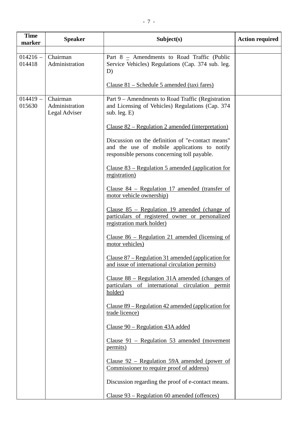| <b>Time</b><br>marker | <b>Speaker</b>                              | Subject(s)                                                                                                                                        | <b>Action required</b> |
|-----------------------|---------------------------------------------|---------------------------------------------------------------------------------------------------------------------------------------------------|------------------------|
|                       |                                             |                                                                                                                                                   |                        |
| $014216 -$<br>014418  | Chairman<br>Administration                  | Part $8$ – Amendments to Road Traffic (Public<br>Service Vehicles) Regulations (Cap. 374 sub. leg.<br>D)                                          |                        |
|                       |                                             | Clause 81 – Schedule 5 amended (taxi fares)                                                                                                       |                        |
| $014419 -$<br>015630  | Chairman<br>Administration<br>Legal Adviser | Part 9 – Amendments to Road Traffic (Registration<br>and Licensing of Vehicles) Regulations (Cap. 374<br>sub. leg. E)                             |                        |
|                       |                                             | <u> Clause 82 – Regulation 2 amended (interpretation)</u>                                                                                         |                        |
|                       |                                             | Discussion on the definition of "e-contact means"<br>and the use of mobile applications to notify<br>responsible persons concerning toll payable. |                        |
|                       |                                             | Clause $83$ – Regulation 5 amended (application for<br>registration)                                                                              |                        |
|                       |                                             | Clause $84$ – Regulation 17 amended (transfer of<br>motor vehicle ownership)                                                                      |                        |
|                       |                                             | Clause $85$ – Regulation 19 amended (change of<br>particulars of registered owner or personalized<br>registration mark holder)                    |                        |
|                       |                                             | Clause $86$ – Regulation 21 amended (licensing of<br>motor vehicles)                                                                              |                        |
|                       |                                             | Clause $87$ – Regulation 31 amended (application for<br>and issue of international circulation permits)                                           |                        |
|                       |                                             | Clause $88$ – Regulation 31A amended (changes of<br>particulars of international circulation permit<br>holder)                                    |                        |
|                       |                                             | Clause $89$ – Regulation 42 amended (application for<br>trade licence)                                                                            |                        |
|                       |                                             | Clause 90 – Regulation 43A added                                                                                                                  |                        |
|                       |                                             | Clause $91$ – Regulation 53 amended (movement<br>permits)                                                                                         |                        |
|                       |                                             | Clause $92$ – Regulation 59A amended (power of<br>Commissioner to require proof of address)                                                       |                        |
|                       |                                             | Discussion regarding the proof of e-contact means.                                                                                                |                        |
|                       |                                             | Clause 93 – Regulation 60 amended (offences)                                                                                                      |                        |